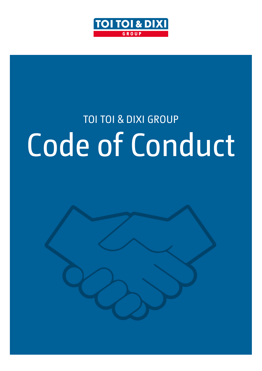

# TOI TOI & DIXI GROUP Code of Conduct

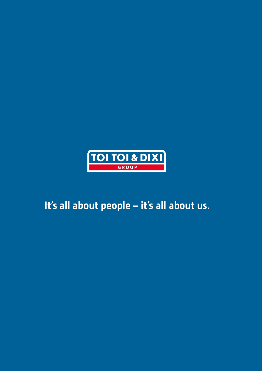

# **It's all about people – it's all about us.**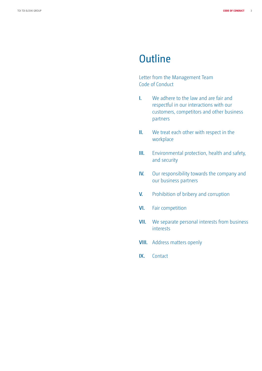### **Outline**

Letter from the Management Team Code of Conduct

- **I.** We adhere to the law and are fair and respectful in our interactions with our customers, competitors and other business partners
- **II.** We treat each other with respect in the workplace
- **III.** Environmental protection, health and safety, and security
- **IV.** Our responsibility towards the company and our business partners
- **V.** Prohibition of bribery and corruption
- **VI.** Fair competition
- **VII.** We separate personal interests from business interests
- **VIII.** Address matters openly
- **IX.** Contact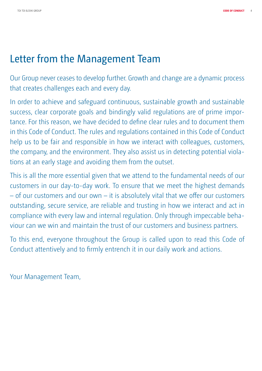# Letter from the Management Team

Our Group never ceases to develop further. Growth and change are a dynamic process that creates challenges each and every day.

In order to achieve and safeguard continuous, sustainable growth and sustainable success, clear corporate goals and bindingly valid regulations are of prime importance. For this reason, we have decided to define clear rules and to document them in this Code of Conduct. The rules and regulations contained in this Code of Conduct help us to be fair and responsible in how we interact with colleagues, customers, the company, and the environment. They also assist us in detecting potential violations at an early stage and avoiding them from the outset.

This is all the more essential given that we attend to the fundamental needs of our customers in our day-to-day work. To ensure that we meet the highest demands – of our customers and our own – it is absolutely vital that we offer our customers outstanding, secure service, are reliable and trusting in how we interact and act in compliance with every law and internal regulation. Only through impeccable behaviour can we win and maintain the trust of our customers and business partners.

To this end, everyone throughout the Group is called upon to read this Code of Conduct attentively and to firmly entrench it in our daily work and actions.

Your Management Team,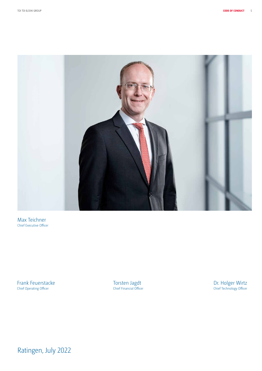

Max Teichner Chief Executive Officer

Frank Feuerstacke Chief Operating Officer

Torsten Jagdt Chief Financial Officer Dr. Holger Wirtz Chief Technology Officer

Ratingen, July 2022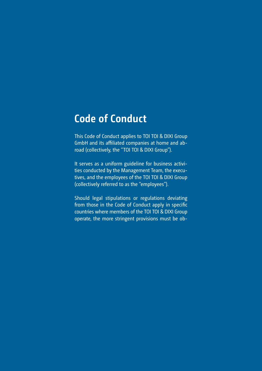### **Code of Conduct**

This Code of Conduct applies to TOI TOI & DIXI Group GmbH and its affiliated companies at home and abroad (collectively, the "TOI TOI & DIXI Group").

It serves as a uniform guideline for business activities conducted by the Management Team, the executives, and the employees of the TOI TOI & DIXI Group (collectively referred to as the "employees").

Should legal stipulations or regulations deviating from those in the Code of Conduct apply in specific countries where members of the TOI TOI & DIXI Group operate, the more stringent provisions must be ob-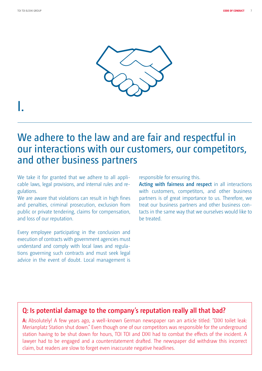

# I.

### We adhere to the law and are fair and respectful in our interactions with our customers, our competitors, and other business partners

We take it for granted that we adhere to all applicable laws, legal provisions, and internal rules and regulations.

We are aware that violations can result in high fines and penalties, criminal prosecution, exclusion from public or private tendering, claims for compensation, and loss of our reputation.

Every employee participating in the conclusion and execution of contracts with government agencies must understand and comply with local laws and regulations governing such contracts and must seek legal advice in the event of doubt. Local management is responsible for ensuring this.

**Acting with fairness and respect** in all interactions with customers, competitors, and other business partners is of great importance to us. Therefore, we treat our business partners and other business contacts in the same way that we ourselves would like to be treated.

#### **Q: Is potential damage to the company's reputation really all that bad?**

**A:** Absolutely! A few years ago, a well-known German newspaper ran an article titled: "DIXI toilet leak: Merianplatz Station shut down." Even though one of our competitors was responsible for the underground station having to be shut down for hours, TOI TOI and DIXI had to combat the effects of the incident. A lawyer had to be engaged and a counterstatement drafted. The newspaper did withdraw this incorrect claim, but readers are slow to forget even inaccurate negative headlines.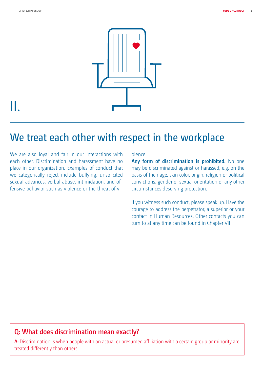

# II.

# We treat each other with respect in the workplace

We are also loyal and fair in our interactions with each other. Discrimination and harassment have no place in our organization. Examples of conduct that we categorically reject include bullying, unsolicited sexual advances, verbal abuse, intimidation, and offensive behavior such as violence or the threat of vi-

#### olence.

**Any form of discrimination is prohibited.** No one may be discriminated against or harassed, e.g. on the basis of their age, skin color, origin, religion or political convictions, gender or sexual orientation or any other circumstances deserving protection.

If you witness such conduct, please speak up. Have the courage to address the perpetrator, a superior or your contact in Human Resources. Other contacts you can turn to at any time can be found in Chapter VIII.

#### **Q: What does discrimination mean exactly?**

**A:** Discrimination is when people with an actual or presumed affiliation with a certain group or minority are treated differently than others.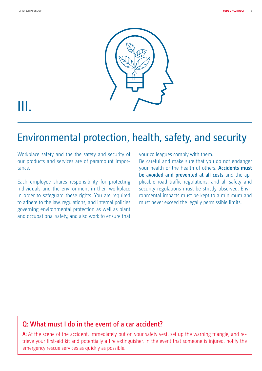

# III.

# Environmental protection, health, safety, and security

Workplace safety and the the safety and security of our products and services are of paramount importance.

Each employee shares responsibility for protecting individuals and the environment in their workplace in order to safeguard these rights. You are required to adhere to the law, regulations, and internal policies governing environmental protection as well as plant and occupational safety, and also work to ensure that your colleagues comply with them.

Be careful and make sure that you do not endanger your health or the health of others. **Accidents must be avoided and prevented at all costs** and the applicable road traffic regulations, and all safety and security regulations must be strictly observed. Environmental impacts must be kept to a minimum and must never exceed the legally permissible limits.

#### **Q: What must I do in the event of a car accident?**

**A:** At the scene of the accident, immediately put on your safety vest, set up the warning triangle, and retrieve your first-aid kit and potentially a fire extinguisher. In the event that someone is injured, notify the emergency rescue services as quickly as possible.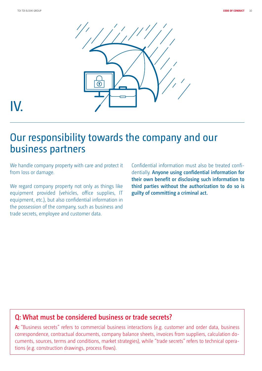

# IV.

### Our responsibility towards the company and our business partners

We handle company property with care and protect it from loss or damage.

We regard company property not only as things like equipment provided (vehicles, office supplies, IT equipment, etc.), but also confidential information in the possession of the company, such as business and trade secrets, employee and customer data.

Confidential information must also be treated confidentially. **Anyone using confidential information for their own benefit or disclosing such information to third parties without the authorization to do so is guilty of committing a criminal act.** 

#### **Q: What must be considered business or trade secrets?**

**A:** "Business secrets" refers to commercial business interactions (e.g. customer and order data, business correspondence, contractual documents, company balance sheets, invoices from suppliers, calculation documents, sources, terms and conditions, market strategies), while "trade secrets" refers to technical operations (e.g. construction drawings, process flows).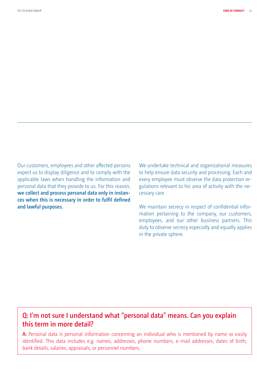Our customers, employees and other affected persons expect us to display diligence and to comply with the applicable laws when handling the information and personal data that they provide to us. For this reason, **we collect and process personal data only in instances when this is necessary in order to fulfil defined and lawful purposes.**

We undertake technical and organizational measures to help ensure data security and processing. Each and every employee must observe the data protection regulations relevant to his area of activity with the necessary care.

We maintain secrecy in respect of confidential information pertaining to the company, our customers, employees, and our other business partners. This duty to observe secrecy especially and equally applies in the private sphere.

#### **Q: I'm not sure I understand what "personal data" means. Can you explain this term in more detail?**

**A:** Personal data is personal information concerning an individual who is mentioned by name or easily identified. This data includes e.g. names, addresses, phone numbers, e-mail addresses, dates of birth, bank details, salaries, appraisals, or personnel numbers.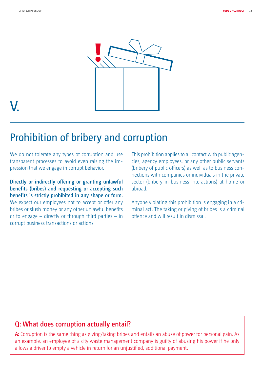

# V.

### Prohibition of bribery and corruption

We do not tolerate any types of corruption and use transparent processes to avoid even raising the impression that we engage in corrupt behavior.

**Directly or indirectly offering or granting unlawful benefits (bribes) and requesting or accepting such benefits is strictly prohibited in any shape or form.**  We expect our employees not to accept or offer any bribes or slush money or any other unlawful benefits or to engage – directly or through third parties – in corrupt business transactions or actions.

This prohibition applies to all contact with public agencies, agency employees, or any other public servants (bribery of public officers) as well as to business connections with companies or individuals in the private sector (bribery in business interactions) at home or abroad.

Anyone violating this prohibition is engaging in a criminal act. The taking or giving of bribes is a criminal offence and will result in dismissal.

#### **Q: What does corruption actually entail?**

**A:** Corruption is the same thing as giving/taking bribes and entails an abuse of power for personal gain. As an example, an employee of a city waste management company is guilty of abusing his power if he only allows a driver to empty a vehicle in return for an unjustified, additional payment.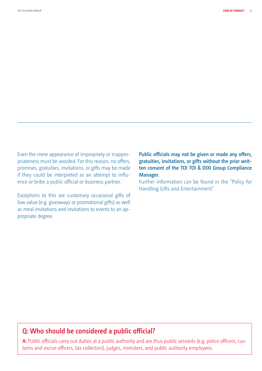Even the mere appearance of impropriety or inappropriateness must be avoided. For this reason, no offers, promises, gratuities, invitations, or gifts may be made if they could be interpreted as an attempt to influence or bribe a public official or business partner.

Exceptions to this are customary occasional gifts of low value (e.g. giveaways or promotional gifts) as well as meal invitations and invitations to events to an appropriate degree.

**Public officials may not be given or made any offers, gratuities, invitations, or gifts without the prior written consent of the TOI TOI & DIXI Group Compliance Manager.**

Further information can be found in the "Policy for Handling Gifts and Entertainment".

#### **Q: Who should be considered a public official?**

**A:** Public officials carry out duties at a public authority and are thus public servants (e.g. police officers, customs and excise officers, tax collectors), judges, ministers, and public authority employees.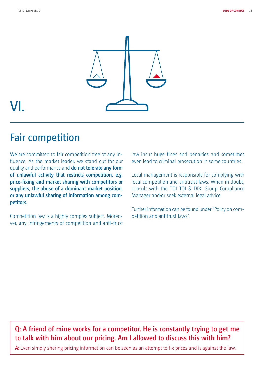

# VI.

# Fair competition

We are committed to fair competition free of any influence. As the market leader, we stand out for our quality and performance and **do not tolerate any form of unlawful activity that restricts competition, e.g. price-fixing and market sharing with competitors or suppliers, the abuse of a dominant market position, or any unlawful sharing of information among competitors.** 

Competition law is a highly complex subject. Moreover, any infringements of competition and anti-trust law incur huge fines and penalties and sometimes even lead to criminal prosecution in some countries.

Local management is responsible for complying with local competition and antitrust laws. When in doubt, consult with the TOI TOI & DIXI Group Compliance Manager and/or seek external legal advice.

Further information can be found under "Policy on competition and antitrust laws".

#### **Q: A friend of mine works for a competitor. He is constantly trying to get me to talk with him about our pricing. Am I allowed to discuss this with him?**

**A:** Even simply sharing pricing information can be seen as an attempt to fix prices and is against the law.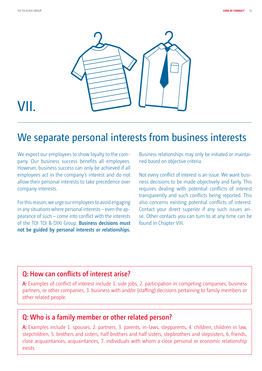

# VII.

### We separate personal interests from business interests

We expect our employees to show loyalty to the company. Our business success benefits all employees. However, business success can only be achieved if all employees act in the company's interest and do not allow their personal interests to take precedence over company interests.

For this reason, we urge our employees to avoid engaging in any situations where personal interests – even the appearance of such – come into conflict with the interests of the TOI TOI & DIXI Group. **Business decisions must not be guided by personal interests or relationships.**  Business relationships may only be initiated or maintained based on objective criteria.

Not every conflict of interest is an issue. We want business decisions to be made objectively and fairly. This requires dealing with potential conflicts of interest transparently and such conflicts being reported. This also concerns existing potential conflicts of interest. Contact your direct superior if any such issues arise. Other contacts you can turn to at any time can be found in Chapter VIII.

#### **Q: How can conflicts of interest arise?**

**A:** Examples of conflict of interest include 1. side jobs, 2. participation in competing companies, business partners, or other companies, 3. business with and/or (staffing) decisions pertaining to family members or other related people.

#### **Q: Who is a family member or other related person?**

**A:** Examples include 1. spouses, 2. partners, 3. parents, in-laws, stepparents, 4. children, children in law, stepchildren, 5. brothers and sisters, half brothers and half sisters, stepbrothers and stepsisters, 6. friends, close acquaintances, acquaintances, 7. individuals with whom a close personal or economic relationship exists.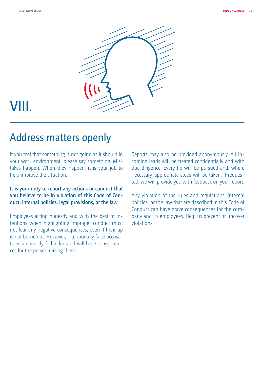

# VIII.

### Address matters openly

If you feel that something is not going as it should in your work environment, please say something. Mistakes happen. When they happen, it is your job to help improve the situation.

#### **It is your duty to report any actions or conduct that you believe to be in violation of this Code of Conduct, internal policies, legal provisions, or the law.**

Employees acting honestly and with the best of intentions when highlighting improper conduct must not fear any negative consequences, even if their tip is not borne out. However, intentionally false accusations are strictly forbidden and will have consequences for the person raising them.

Reports may also be provided anonymously. All incoming leads will be treated confidentially and with due diligence. Every tip will be pursued and, where necessary, appropriate steps will be taken. If requested, we will provide you with feedback on your report.

Any violation of the rules and regulations, internal policies, or the law that are described in this Code of Conduct can have grave consequences for the company and its employees. Help us prevent or uncover violations.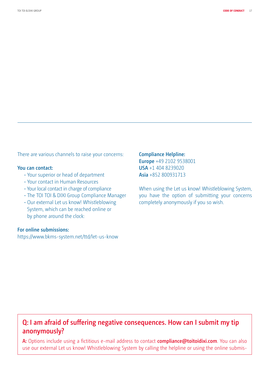There are various channels to raise your concerns:

#### **You can contact:**

- Your superior or head of department
- Your contact in Human Resources
- Your local contact in charge of compliance
- The TOI TOI & DIXI Group Compliance Manager
- Our external Let us know! Whistleblowing System, which can be reached online or by phone around the clock:

#### **For online submissions:**

https://www.bkms-system.net/ttd/let-us-know

**Compliance Helpline: Europe** +49 2102 9538001 **USA** +1 404 8239020 **Asia** +852 800931713

When using the Let us know! Whistleblowing System, you have the option of submitting your concerns completely anonymously if you so wish.

#### **Q: I am afraid of suffering negative consequences. How can I submit my tip anonymously?**

**A:** Options include using a fictitious e-mail address to contact **compliance@toitoidixi.com**. You can also use our external Let us know! Whistleblowing System by calling the helpline or using the online submis-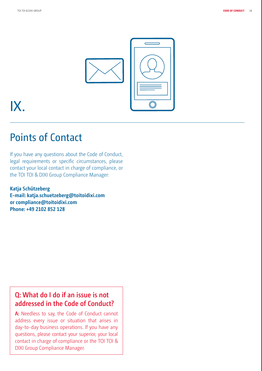

# IX.

### Points of Contact

If you have any questions about the Code of Conduct, legal requirements or specific circumstances, please contact your local contact in charge of compliance, or the TOI TOI & DIXI Group Compliance Manager:

**Katja Schützeberg E-mail: katja.schuetzeberg@toitoidixi.com or compliance@toitoidixi.com Phone: +49 2102 852 128** 

#### **Q: What do I do if an issue is not addressed in the Code of Conduct?**

**A:** Needless to say, the Code of Conduct cannot address every issue or situation that arises in day-to-day business operations. If you have any questions, please contact your superior, your local contact in charge of compliance or the TOI TOI & DIXI Group Compliance Manager.